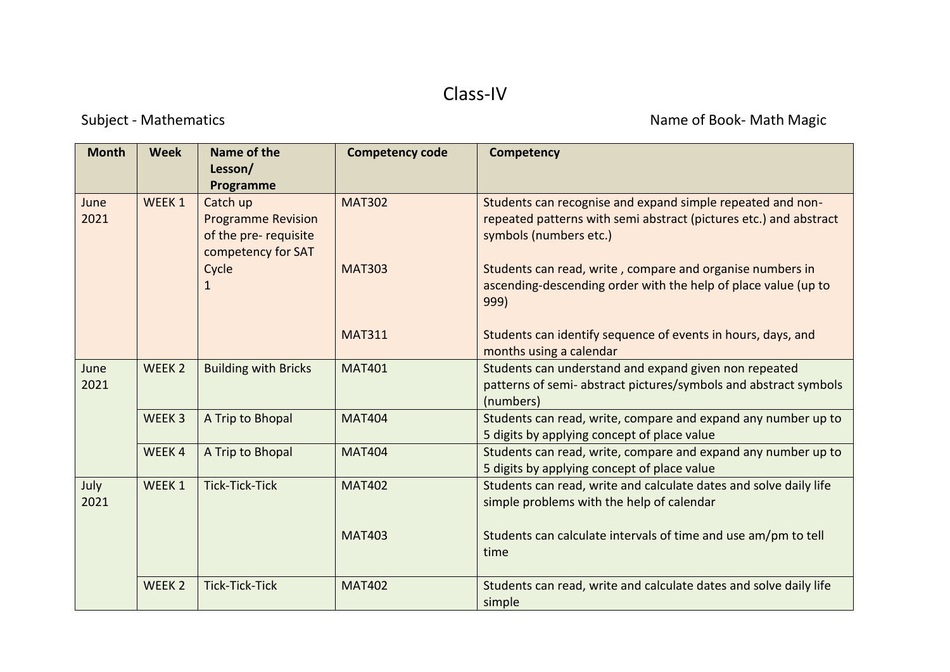## Class-IV

Subject - Mathematics **Name of Book- Math Magic** Subject - Math Magic

| <b>Month</b> | <b>Week</b>       | Name of the<br>Lesson/                                                                            | <b>Competency code</b> | <b>Competency</b>                                                                                                                                         |
|--------------|-------------------|---------------------------------------------------------------------------------------------------|------------------------|-----------------------------------------------------------------------------------------------------------------------------------------------------------|
| June<br>2021 | WEEK 1            | Programme<br>Catch up<br><b>Programme Revision</b><br>of the pre- requisite<br>competency for SAT | <b>MAT302</b>          | Students can recognise and expand simple repeated and non-<br>repeated patterns with semi abstract (pictures etc.) and abstract<br>symbols (numbers etc.) |
|              |                   | Cycle<br>$\mathbf{1}$                                                                             | <b>MAT303</b>          | Students can read, write, compare and organise numbers in<br>ascending-descending order with the help of place value (up to<br>999)                       |
|              |                   |                                                                                                   | <b>MAT311</b>          | Students can identify sequence of events in hours, days, and<br>months using a calendar                                                                   |
| June<br>2021 | WEEK <sub>2</sub> | <b>Building with Bricks</b>                                                                       | <b>MAT401</b>          | Students can understand and expand given non repeated<br>patterns of semi- abstract pictures/symbols and abstract symbols<br>(numbers)                    |
|              | WEEK <sub>3</sub> | A Trip to Bhopal                                                                                  | <b>MAT404</b>          | Students can read, write, compare and expand any number up to<br>5 digits by applying concept of place value                                              |
|              | WEEK4             | A Trip to Bhopal                                                                                  | <b>MAT404</b>          | Students can read, write, compare and expand any number up to<br>5 digits by applying concept of place value                                              |
| July<br>2021 | WEEK 1            | <b>Tick-Tick-Tick</b>                                                                             | <b>MAT402</b>          | Students can read, write and calculate dates and solve daily life<br>simple problems with the help of calendar                                            |
|              |                   |                                                                                                   | <b>MAT403</b>          | Students can calculate intervals of time and use am/pm to tell<br>time                                                                                    |
|              | WEEK <sub>2</sub> | <b>Tick-Tick-Tick</b>                                                                             | <b>MAT402</b>          | Students can read, write and calculate dates and solve daily life<br>simple                                                                               |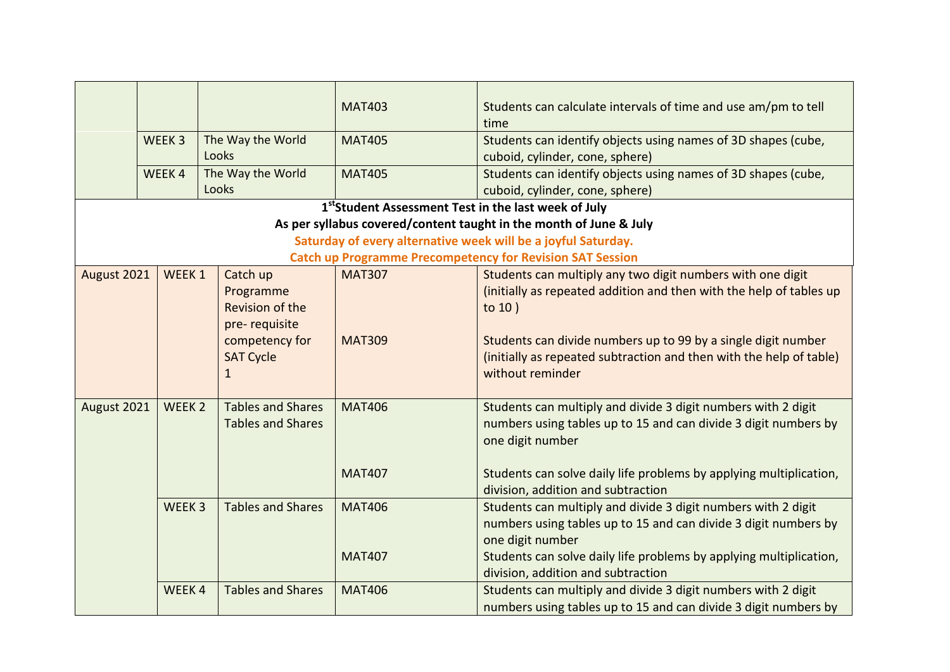|             | WEEK <sub>3</sub><br>WEEK4 | The Way the World<br>Looks<br>The Way the World                                                      | <b>MAT403</b><br><b>MAT405</b><br><b>MAT405</b>                  | Students can calculate intervals of time and use am/pm to tell<br>time<br>Students can identify objects using names of 3D shapes (cube,<br>cuboid, cylinder, cone, sphere)<br>Students can identify objects using names of 3D shapes (cube,                                                                |
|-------------|----------------------------|------------------------------------------------------------------------------------------------------|------------------------------------------------------------------|------------------------------------------------------------------------------------------------------------------------------------------------------------------------------------------------------------------------------------------------------------------------------------------------------------|
|             |                            | Looks                                                                                                |                                                                  | cuboid, cylinder, cone, sphere)                                                                                                                                                                                                                                                                            |
|             |                            |                                                                                                      | 1 <sup>st</sup> Student Assessment Test in the last week of July |                                                                                                                                                                                                                                                                                                            |
|             |                            |                                                                                                      |                                                                  | As per syllabus covered/content taught in the month of June & July                                                                                                                                                                                                                                         |
|             |                            |                                                                                                      |                                                                  | Saturday of every alternative week will be a joyful Saturday.                                                                                                                                                                                                                                              |
|             |                            |                                                                                                      |                                                                  | <b>Catch up Programme Precompetency for Revision SAT Session</b>                                                                                                                                                                                                                                           |
| August 2021 | WEEK 1                     | Catch up<br>Programme<br>Revision of the<br>pre-requisite<br>competency for<br><b>SAT Cycle</b><br>1 | <b>MAT307</b><br><b>MAT309</b>                                   | Students can multiply any two digit numbers with one digit<br>(initially as repeated addition and then with the help of tables up<br>to $10$ )<br>Students can divide numbers up to 99 by a single digit number<br>(initially as repeated subtraction and then with the help of table)<br>without reminder |
| August 2021 | WEEK <sub>2</sub>          | <b>Tables and Shares</b><br><b>Tables and Shares</b>                                                 | <b>MAT406</b>                                                    | Students can multiply and divide 3 digit numbers with 2 digit<br>numbers using tables up to 15 and can divide 3 digit numbers by<br>one digit number                                                                                                                                                       |
|             |                            |                                                                                                      | <b>MAT407</b>                                                    | Students can solve daily life problems by applying multiplication,<br>division, addition and subtraction                                                                                                                                                                                                   |
|             | WEEK <sub>3</sub>          | <b>Tables and Shares</b>                                                                             | <b>MAT406</b><br><b>MAT407</b>                                   | Students can multiply and divide 3 digit numbers with 2 digit<br>numbers using tables up to 15 and can divide 3 digit numbers by<br>one digit number<br>Students can solve daily life problems by applying multiplication,                                                                                 |
|             |                            |                                                                                                      |                                                                  | division, addition and subtraction                                                                                                                                                                                                                                                                         |
|             | WEEK4                      | <b>Tables and Shares</b>                                                                             | <b>MAT406</b>                                                    | Students can multiply and divide 3 digit numbers with 2 digit<br>numbers using tables up to 15 and can divide 3 digit numbers by                                                                                                                                                                           |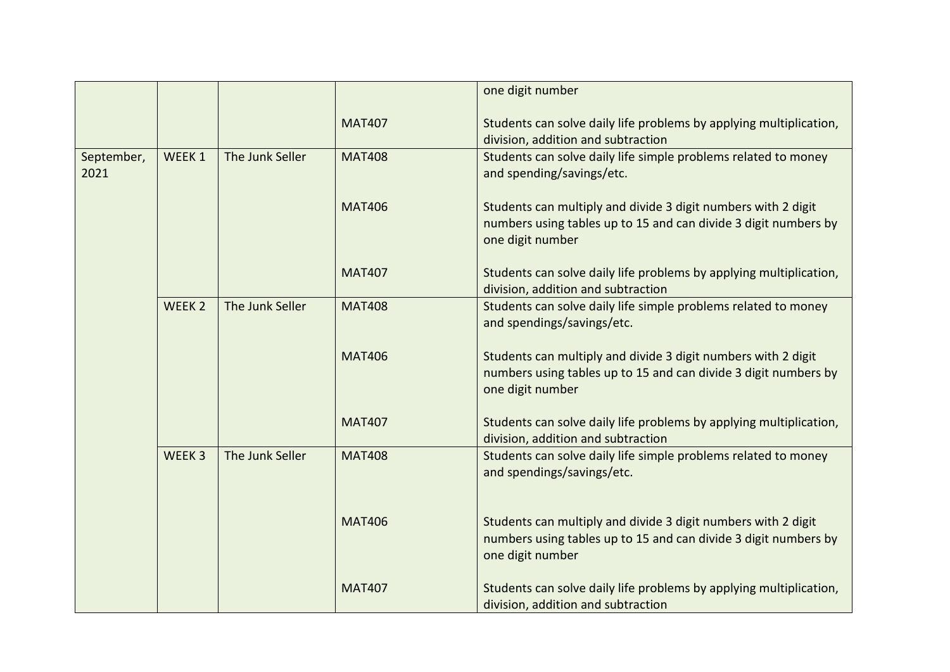|                    |                   |                 |               | one digit number                                                                                                                                     |
|--------------------|-------------------|-----------------|---------------|------------------------------------------------------------------------------------------------------------------------------------------------------|
|                    |                   |                 | <b>MAT407</b> | Students can solve daily life problems by applying multiplication,<br>division, addition and subtraction                                             |
| September,<br>2021 | WEEK 1            | The Junk Seller | <b>MAT408</b> | Students can solve daily life simple problems related to money<br>and spending/savings/etc.                                                          |
|                    |                   |                 | <b>MAT406</b> | Students can multiply and divide 3 digit numbers with 2 digit<br>numbers using tables up to 15 and can divide 3 digit numbers by<br>one digit number |
|                    |                   |                 | <b>MAT407</b> | Students can solve daily life problems by applying multiplication,<br>division, addition and subtraction                                             |
|                    | WEEK <sub>2</sub> | The Junk Seller | <b>MAT408</b> | Students can solve daily life simple problems related to money<br>and spendings/savings/etc.                                                         |
|                    |                   |                 | <b>MAT406</b> | Students can multiply and divide 3 digit numbers with 2 digit<br>numbers using tables up to 15 and can divide 3 digit numbers by<br>one digit number |
|                    |                   |                 | <b>MAT407</b> | Students can solve daily life problems by applying multiplication,<br>division, addition and subtraction                                             |
|                    | WEEK <sub>3</sub> | The Junk Seller | <b>MAT408</b> | Students can solve daily life simple problems related to money<br>and spendings/savings/etc.                                                         |
|                    |                   |                 | <b>MAT406</b> | Students can multiply and divide 3 digit numbers with 2 digit<br>numbers using tables up to 15 and can divide 3 digit numbers by<br>one digit number |
|                    |                   |                 | <b>MAT407</b> | Students can solve daily life problems by applying multiplication,<br>division, addition and subtraction                                             |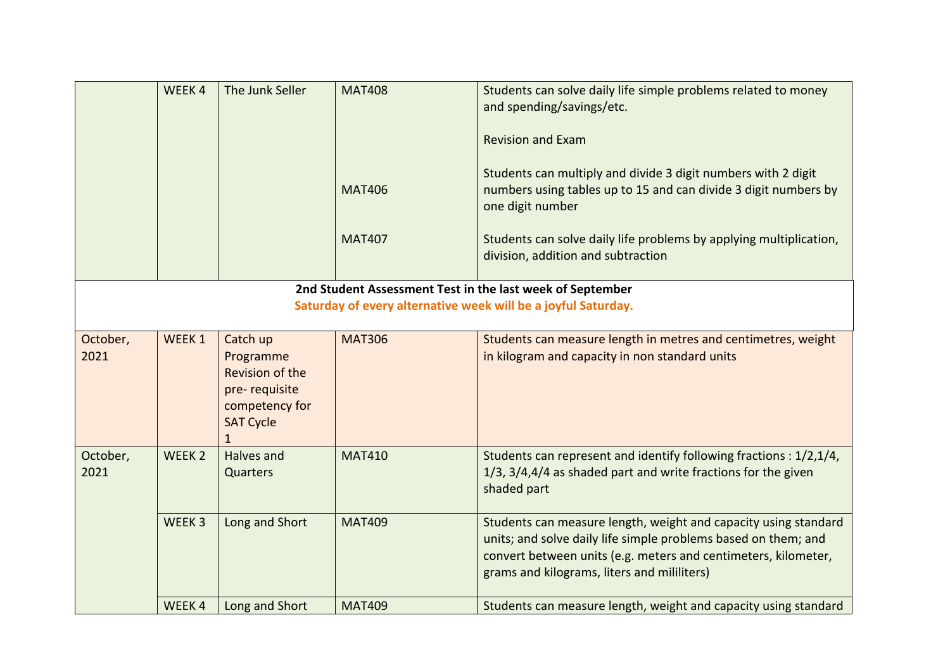|                  | WEEK4             | The Junk Seller                                                                                                        | <b>MAT408</b> | Students can solve daily life simple problems related to money<br>and spending/savings/etc.                                                                                                                                                        |
|------------------|-------------------|------------------------------------------------------------------------------------------------------------------------|---------------|----------------------------------------------------------------------------------------------------------------------------------------------------------------------------------------------------------------------------------------------------|
|                  |                   |                                                                                                                        |               | <b>Revision and Exam</b>                                                                                                                                                                                                                           |
|                  |                   |                                                                                                                        | <b>MAT406</b> | Students can multiply and divide 3 digit numbers with 2 digit<br>numbers using tables up to 15 and can divide 3 digit numbers by<br>one digit number                                                                                               |
|                  |                   |                                                                                                                        | <b>MAT407</b> | Students can solve daily life problems by applying multiplication,<br>division, addition and subtraction                                                                                                                                           |
|                  |                   |                                                                                                                        |               | 2nd Student Assessment Test in the last week of September                                                                                                                                                                                          |
|                  |                   |                                                                                                                        |               | Saturday of every alternative week will be a joyful Saturday.                                                                                                                                                                                      |
| October,<br>2021 | WEEK <sub>1</sub> | Catch up<br>Programme<br><b>Revision of the</b><br>pre-requisite<br>competency for<br><b>SAT Cycle</b><br>$\mathbf{1}$ | <b>MAT306</b> | Students can measure length in metres and centimetres, weight<br>in kilogram and capacity in non standard units                                                                                                                                    |
| October,<br>2021 | WEEK <sub>2</sub> | Halves and<br><b>Quarters</b>                                                                                          | <b>MAT410</b> | Students can represent and identify following fractions: 1/2,1/4,<br>1/3, 3/4,4/4 as shaded part and write fractions for the given<br>shaded part                                                                                                  |
|                  | WEEK <sub>3</sub> | Long and Short                                                                                                         | <b>MAT409</b> | Students can measure length, weight and capacity using standard<br>units; and solve daily life simple problems based on them; and<br>convert between units (e.g. meters and centimeters, kilometer,<br>grams and kilograms, liters and mililiters) |
|                  | WEEK4             | Long and Short                                                                                                         | <b>MAT409</b> | Students can measure length, weight and capacity using standard                                                                                                                                                                                    |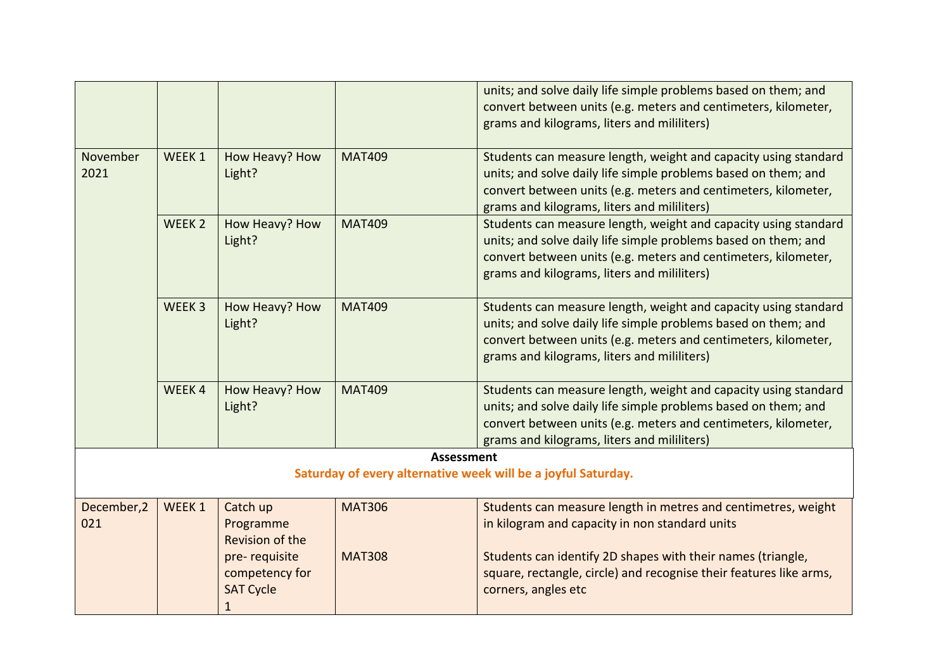|                    |                   |                                                          |                   | units; and solve daily life simple problems based on them; and<br>convert between units (e.g. meters and centimeters, kilometer,<br>grams and kilograms, liters and mililiters)                                                                    |
|--------------------|-------------------|----------------------------------------------------------|-------------------|----------------------------------------------------------------------------------------------------------------------------------------------------------------------------------------------------------------------------------------------------|
| November<br>2021   | WEEK 1            | How Heavy? How<br>Light?                                 | <b>MAT409</b>     | Students can measure length, weight and capacity using standard<br>units; and solve daily life simple problems based on them; and<br>convert between units (e.g. meters and centimeters, kilometer,<br>grams and kilograms, liters and mililiters) |
|                    | WEEK <sub>2</sub> | How Heavy? How<br>Light?                                 | <b>MAT409</b>     | Students can measure length, weight and capacity using standard<br>units; and solve daily life simple problems based on them; and<br>convert between units (e.g. meters and centimeters, kilometer,<br>grams and kilograms, liters and mililiters) |
|                    | WEEK <sub>3</sub> | How Heavy? How<br>Light?                                 | <b>MAT409</b>     | Students can measure length, weight and capacity using standard<br>units; and solve daily life simple problems based on them; and<br>convert between units (e.g. meters and centimeters, kilometer,<br>grams and kilograms, liters and mililiters) |
|                    | WEEK4             | How Heavy? How<br>Light?                                 | <b>MAT409</b>     | Students can measure length, weight and capacity using standard<br>units; and solve daily life simple problems based on them; and<br>convert between units (e.g. meters and centimeters, kilometer,<br>grams and kilograms, liters and mililiters) |
|                    |                   |                                                          | <b>Assessment</b> | Saturday of every alternative week will be a joyful Saturday.                                                                                                                                                                                      |
|                    |                   |                                                          |                   |                                                                                                                                                                                                                                                    |
| December, 2<br>021 | WEEK 1            | Catch up<br>Programme<br>Revision of the                 | <b>MAT306</b>     | Students can measure length in metres and centimetres, weight<br>in kilogram and capacity in non standard units                                                                                                                                    |
|                    |                   | pre-requisite<br>competency for<br><b>SAT Cycle</b><br>1 | <b>MAT308</b>     | Students can identify 2D shapes with their names (triangle,<br>square, rectangle, circle) and recognise their features like arms,<br>corners, angles etc                                                                                           |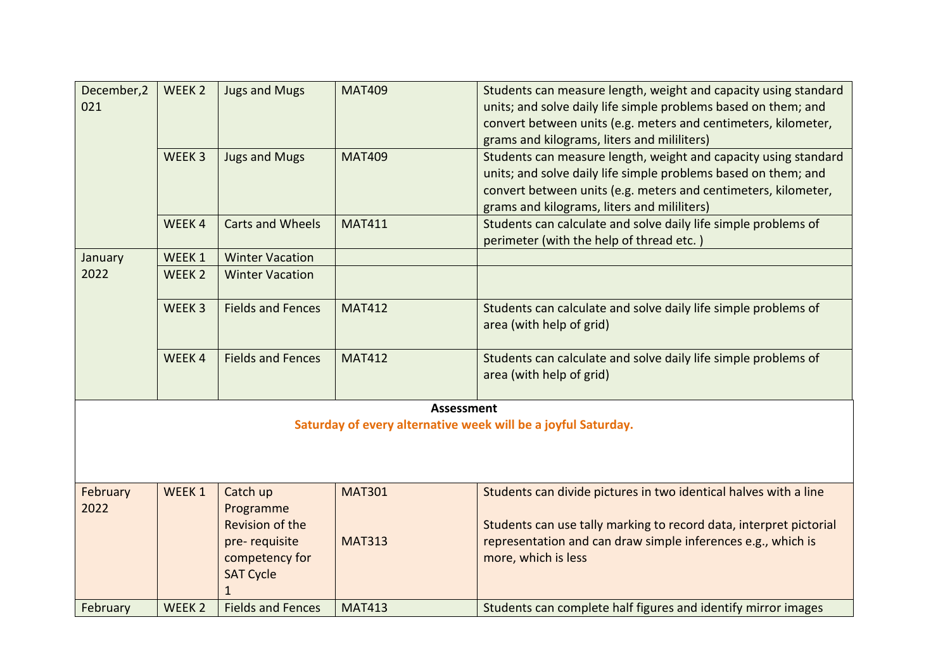| December, 2<br>021 | WEEK <sub>2</sub> | <b>Jugs and Mugs</b>     | <b>MAT409</b> | Students can measure length, weight and capacity using standard<br>units; and solve daily life simple problems based on them; and<br>convert between units (e.g. meters and centimeters, kilometer,<br>grams and kilograms, liters and mililiters) |  |  |
|--------------------|-------------------|--------------------------|---------------|----------------------------------------------------------------------------------------------------------------------------------------------------------------------------------------------------------------------------------------------------|--|--|
|                    | WEEK <sub>3</sub> | <b>Jugs and Mugs</b>     | <b>MAT409</b> | Students can measure length, weight and capacity using standard<br>units; and solve daily life simple problems based on them; and<br>convert between units (e.g. meters and centimeters, kilometer,<br>grams and kilograms, liters and mililiters) |  |  |
|                    | WEEK4             | <b>Carts and Wheels</b>  | <b>MAT411</b> | Students can calculate and solve daily life simple problems of<br>perimeter (with the help of thread etc.)                                                                                                                                         |  |  |
| January            | WEEK 1            | <b>Winter Vacation</b>   |               |                                                                                                                                                                                                                                                    |  |  |
| 2022               | WEEK <sub>2</sub> | <b>Winter Vacation</b>   |               |                                                                                                                                                                                                                                                    |  |  |
|                    | WEEK <sub>3</sub> | <b>Fields and Fences</b> | <b>MAT412</b> | Students can calculate and solve daily life simple problems of<br>area (with help of grid)                                                                                                                                                         |  |  |
|                    | WEEK4             | <b>Fields and Fences</b> | <b>MAT412</b> | Students can calculate and solve daily life simple problems of<br>area (with help of grid)                                                                                                                                                         |  |  |
|                    | <b>Assessment</b> |                          |               |                                                                                                                                                                                                                                                    |  |  |
|                    |                   |                          |               | Saturday of every alternative week will be a joyful Saturday.                                                                                                                                                                                      |  |  |
|                    |                   |                          |               |                                                                                                                                                                                                                                                    |  |  |
|                    |                   |                          |               |                                                                                                                                                                                                                                                    |  |  |
| February           | WEEK 1            | Catch up                 | <b>MAT301</b> | Students can divide pictures in two identical halves with a line                                                                                                                                                                                   |  |  |
| 2022               |                   | Programme                |               |                                                                                                                                                                                                                                                    |  |  |
|                    |                   | <b>Revision of the</b>   |               | Students can use tally marking to record data, interpret pictorial                                                                                                                                                                                 |  |  |
|                    |                   | pre-requisite            | <b>MAT313</b> | representation and can draw simple inferences e.g., which is                                                                                                                                                                                       |  |  |
|                    |                   | competency for           |               | more, which is less                                                                                                                                                                                                                                |  |  |
|                    |                   | <b>SAT Cycle</b>         |               |                                                                                                                                                                                                                                                    |  |  |
| February           | WEEK <sub>2</sub> | <b>Fields and Fences</b> | <b>MAT413</b> | Students can complete half figures and identify mirror images                                                                                                                                                                                      |  |  |